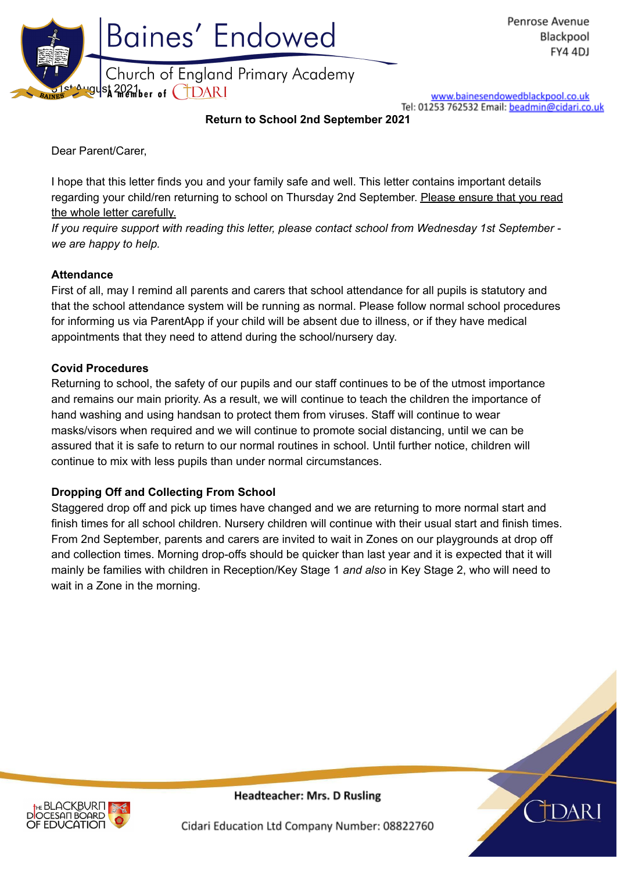

www.bainesendowedblackpool.co.uk Tel: 01253 762532 Email: beadmin@cidari.co.uk

**Return to School 2nd September 2021**

Dear Parent/Carer,

I hope that this letter finds you and your family safe and well. This letter contains important details regarding your child/ren returning to school on Thursday 2nd September. Please ensure that you read the whole letter carefully.

*If you require support with reading this letter, please contact school from Wednesday 1st September we are happy to help.*

## **Attendance**

First of all, may I remind all parents and carers that school attendance for all pupils is statutory and that the school attendance system will be running as normal. Please follow normal school procedures for informing us via ParentApp if your child will be absent due to illness, or if they have medical appointments that they need to attend during the school/nursery day.

#### **Covid Procedures**

Returning to school, the safety of our pupils and our staff continues to be of the utmost importance and remains our main priority. As a result, we will continue to teach the children the importance of hand washing and using handsan to protect them from viruses. Staff will continue to wear masks/visors when required and we will continue to promote social distancing, until we can be assured that it is safe to return to our normal routines in school. Until further notice, children will continue to mix with less pupils than under normal circumstances.

## **Dropping Off and Collecting From School**

Staggered drop off and pick up times have changed and we are returning to more normal start and finish times for all school children. Nursery children will continue with their usual start and finish times. From 2nd September, parents and carers are invited to wait in Zones on our playgrounds at drop off and collection times. Morning drop-offs should be quicker than last year and it is expected that it will mainly be families with children in Reception/Key Stage 1 *and also* in Key Stage 2, who will need to wait in a Zone in the morning.





**Headteacher: Mrs. D Rusling** 

Cidari Education Ltd Company Number: 08822760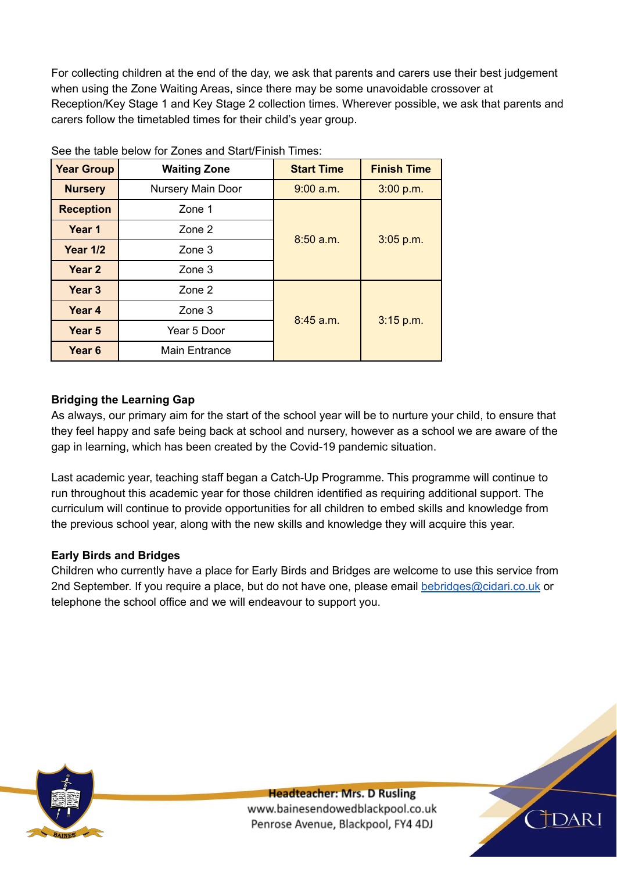For collecting children at the end of the day, we ask that parents and carers use their best judgement when using the Zone Waiting Areas, since there may be some unavoidable crossover at Reception/Key Stage 1 and Key Stage 2 collection times. Wherever possible, we ask that parents and carers follow the timetabled times for their child's year group.

| <b>Year Group</b> | <b>Waiting Zone</b> | <b>Start Time</b>        | <b>Finish Time</b> |
|-------------------|---------------------|--------------------------|--------------------|
| <b>Nursery</b>    | Nursery Main Door   | 9:00 a.m.                | 3:00 p.m.          |
| <b>Reception</b>  | Zone 1              | 8:50 a.m.<br>$3:05$ p.m. |                    |
| Year 1            | Zone 2              |                          |                    |
| <b>Year 1/2</b>   | Zone 3              |                          |                    |
| Year 2            | Zone 3              |                          |                    |
| Year <sub>3</sub> | Zone 2              | 8:45 a.m.<br>$3:15$ p.m. |                    |
| Year 4            | Zone 3              |                          |                    |
| Year <sub>5</sub> | Year 5 Door         |                          |                    |
| Year <sub>6</sub> | Main Entrance       |                          |                    |

See the table below for Zones and Start/Finish Times:

## **Bridging the Learning Gap**

As always, our primary aim for the start of the school year will be to nurture your child, to ensure that they feel happy and safe being back at school and nursery, however as a school we are aware of the gap in learning, which has been created by the Covid-19 pandemic situation.

Last academic year, teaching staff began a Catch-Up Programme. This programme will continue to run throughout this academic year for those children identified as requiring additional support. The curriculum will continue to provide opportunities for all children to embed skills and knowledge from the previous school year, along with the new skills and knowledge they will acquire this year.

## **Early Birds and Bridges**

Children who currently have a place for Early Birds and Bridges are welcome to use this service from 2nd September. If you require a place, but do not have one, please email [bebridges@cidari.co.uk](mailto:bebridges@cidari.co.uk) or telephone the school office and we will endeavour to support you.



**Headteacher: Mrs. D Rusling** www.bainesendowedblackpool.co.uk Penrose Avenue, Blackpool, FY4 4DJ

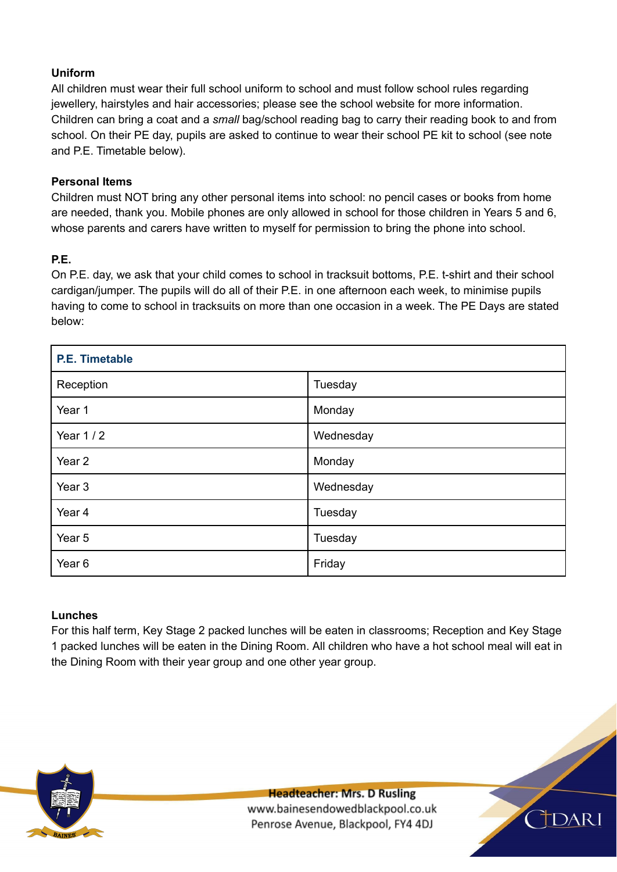# **Uniform**

All children must wear their full school uniform to school and must follow school rules regarding jewellery, hairstyles and hair accessories; please see the school website for more information. Children can bring a coat and a *small* bag/school reading bag to carry their reading book to and from school. On their PE day, pupils are asked to continue to wear their school PE kit to school (see note and P.E. Timetable below).

## **Personal Items**

Children must NOT bring any other personal items into school: no pencil cases or books from home are needed, thank you. Mobile phones are only allowed in school for those children in Years 5 and 6, whose parents and carers have written to myself for permission to bring the phone into school.

#### **P.E.**

On P.E. day, we ask that your child comes to school in tracksuit bottoms, P.E. t-shirt and their school cardigan/jumper. The pupils will do all of their P.E. in one afternoon each week, to minimise pupils having to come to school in tracksuits on more than one occasion in a week. The PE Days are stated below:

| <b>P.E. Timetable</b> |           |  |
|-----------------------|-----------|--|
| Reception             | Tuesday   |  |
| Year 1                | Monday    |  |
| Year $1/2$            | Wednesday |  |
| Year 2                | Monday    |  |
| Year 3                | Wednesday |  |
| Year 4                | Tuesday   |  |
| Year 5                | Tuesday   |  |
| Year <sub>6</sub>     | Friday    |  |

## **Lunches**

For this half term, Key Stage 2 packed lunches will be eaten in classrooms; Reception and Key Stage 1 packed lunches will be eaten in the Dining Room. All children who have a hot school meal will eat in the Dining Room with their year group and one other year group.



**Headteacher: Mrs. D Rusling** www.bainesendowedblackpool.co.uk Penrose Avenue, Blackpool, FY4 4DJ